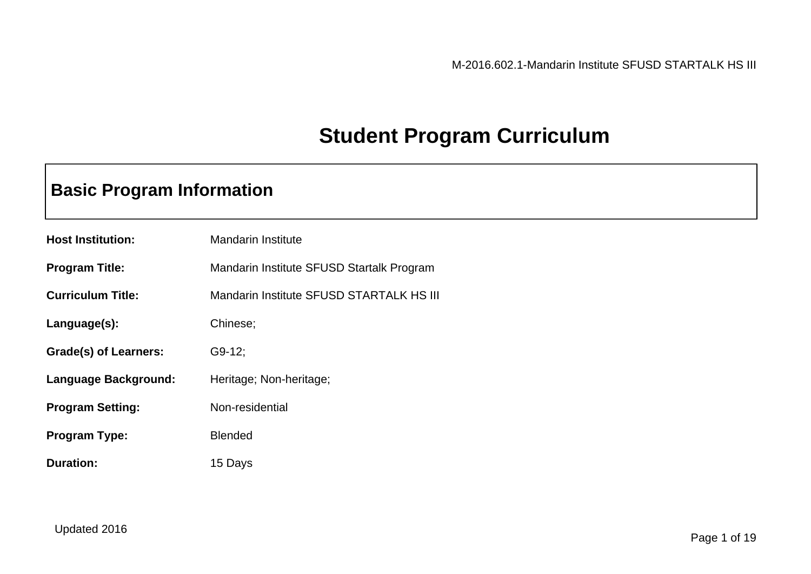## **Student Program Curriculum**

### **Basic Program Information**

| <b>Host Institution:</b> | <b>Mandarin Institute</b>                 |
|--------------------------|-------------------------------------------|
| <b>Program Title:</b>    | Mandarin Institute SFUSD Startalk Program |
| <b>Curriculum Title:</b> | Mandarin Institute SFUSD STARTALK HS III  |
| Language(s):             | Chinese;                                  |
| Grade(s) of Learners:    | $G9-12;$                                  |
| Language Background:     | Heritage; Non-heritage;                   |
| <b>Program Setting:</b>  | Non-residential                           |
| <b>Program Type:</b>     | <b>Blended</b>                            |
| <b>Duration:</b>         | 15 Days                                   |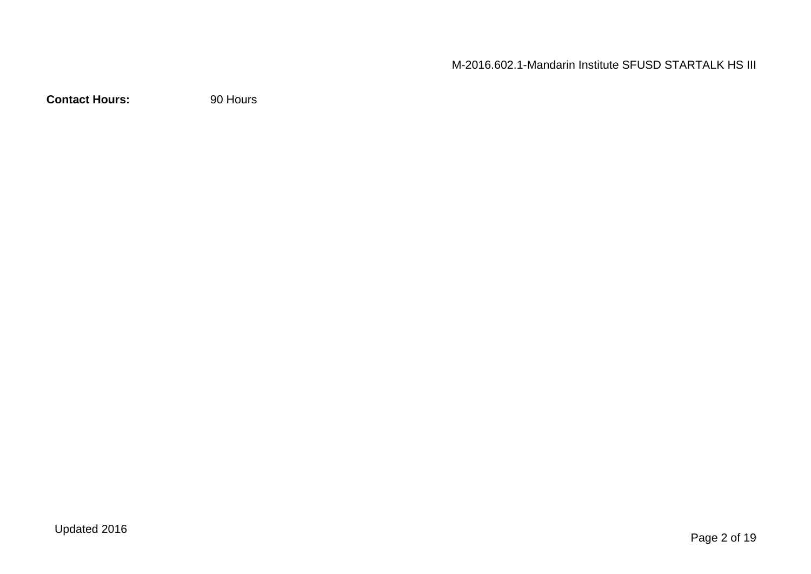M-2016.602.1-Mandarin Institute SFUSD STARTALK HS III

**Contact Hours:** 90 Hours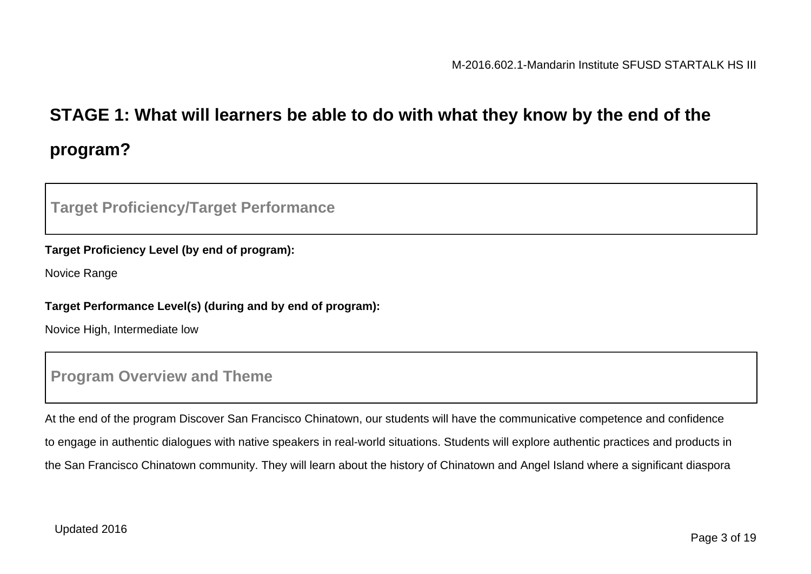## **STAGE 1: What will learners be able to do with what they know by the end of the program?**

### **Target Proficiency/Target Performance**

#### **Target Proficiency Level (by end of program):**

Novice Range

#### **Target Performance Level(s) (during and by end of program):**

Novice High, Intermediate low

### **Program Overview and Theme**

At the end of the program Discover San Francisco Chinatown, our students will have the communicative competence and confidence to engage in authentic dialogues with native speakers in real-world situations. Students will explore authentic practices and products in the San Francisco Chinatown community. They will learn about the history of Chinatown and Angel Island where a significant diaspora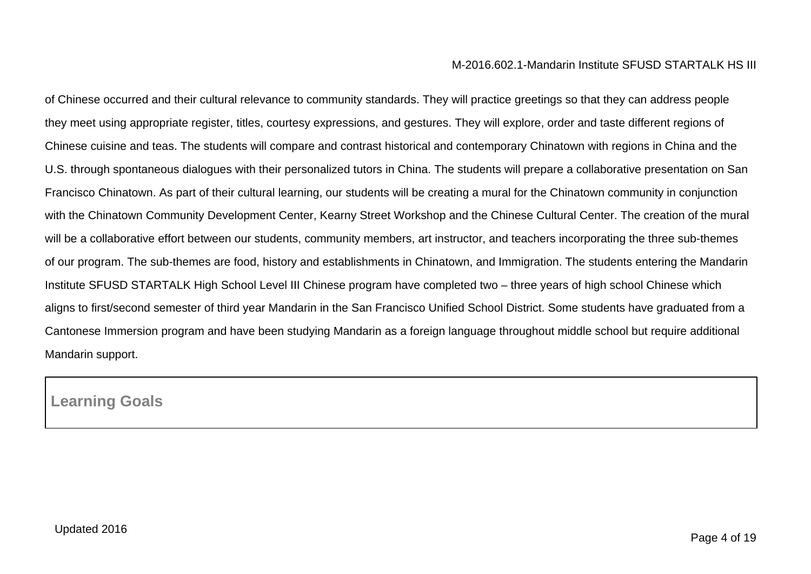of Chinese occurred and their cultural relevance to community standards. They will practice greetings so that they can address people they meet using appropriate register, titles, courtesy expressions, and gestures. They will explore, order and taste different regions of Chinese cuisine and teas. The students will compare and contrast historical and contemporary Chinatown with regions in China and the U.S. through spontaneous dialogues with their personalized tutors in China. The students will prepare a collaborative presentation on San Francisco Chinatown. As part of their cultural learning, our students will be creating a mural for the Chinatown community in conjunction with the Chinatown Community Development Center, Kearny Street Workshop and the Chinese Cultural Center. The creation of the mural will be a collaborative effort between our students, community members, art instructor, and teachers incorporating the three sub-themes of our program. The sub-themes are food, history and establishments in Chinatown, and Immigration. The students entering the Mandarin Institute SFUSD STARTALK High School Level III Chinese program have completed two – three years of high school Chinese which aligns to first/second semester of third year Mandarin in the San Francisco Unified School District. Some students have graduated from a Cantonese Immersion program and have been studying Mandarin as a foreign language throughout middle school but require additional Mandarin support.

### **Learning Goals**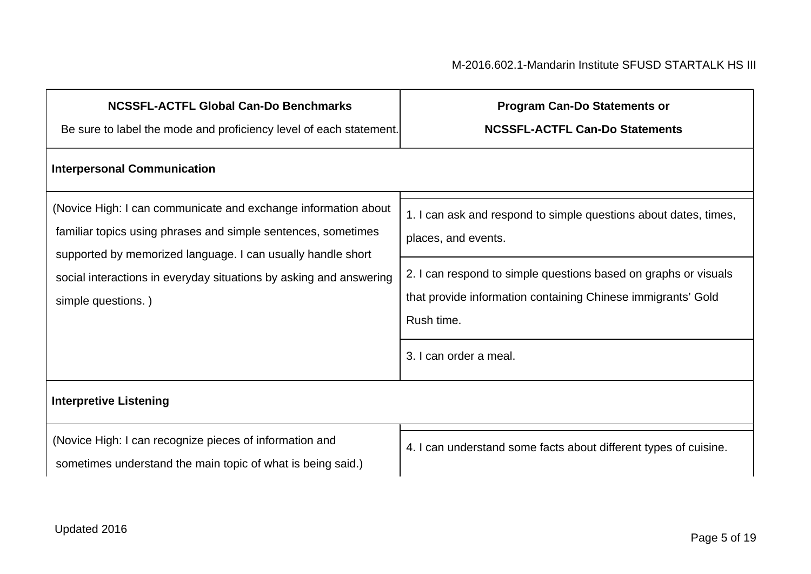| <b>NCSSFL-ACTFL Global Can-Do Benchmarks</b><br>Be sure to label the mode and proficiency level of each statement.                                                                                                                                                                         | <b>Program Can-Do Statements or</b><br><b>NCSSFL-ACTFL Can-Do Statements</b>                                                                                                                                                                                       |
|--------------------------------------------------------------------------------------------------------------------------------------------------------------------------------------------------------------------------------------------------------------------------------------------|--------------------------------------------------------------------------------------------------------------------------------------------------------------------------------------------------------------------------------------------------------------------|
| <b>Interpersonal Communication</b>                                                                                                                                                                                                                                                         |                                                                                                                                                                                                                                                                    |
| (Novice High: I can communicate and exchange information about<br>familiar topics using phrases and simple sentences, sometimes<br>supported by memorized language. I can usually handle short<br>social interactions in everyday situations by asking and answering<br>simple questions.) | 1. I can ask and respond to simple questions about dates, times,<br>places, and events.<br>2. I can respond to simple questions based on graphs or visuals<br>that provide information containing Chinese immigrants' Gold<br>Rush time.<br>3. I can order a meal. |
| <b>Interpretive Listening</b>                                                                                                                                                                                                                                                              |                                                                                                                                                                                                                                                                    |
| (Novice High: I can recognize pieces of information and<br>sometimes understand the main topic of what is being said.)                                                                                                                                                                     | 4. I can understand some facts about different types of cuisine.                                                                                                                                                                                                   |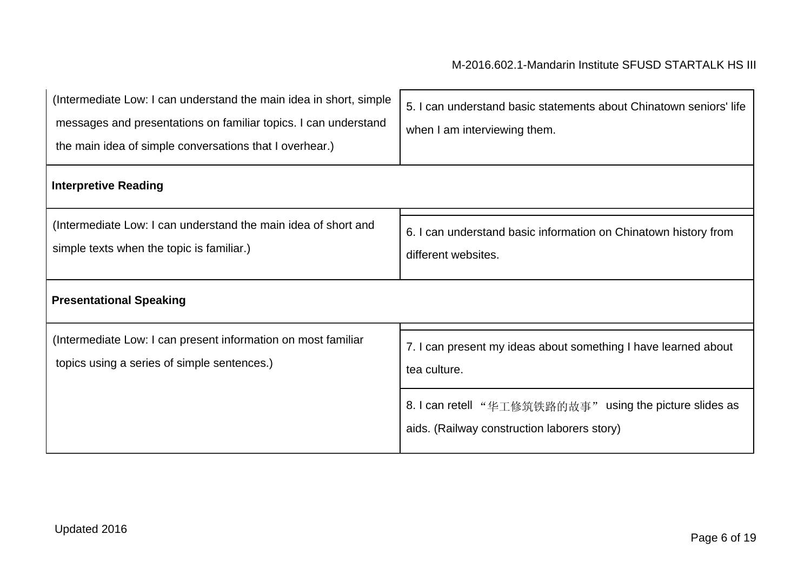| (Intermediate Low: I can understand the main idea in short, simple<br>messages and presentations on familiar topics. I can understand<br>the main idea of simple conversations that I overhear.) | 5. I can understand basic statements about Chinatown seniors' life<br>when I am interviewing them.     |
|--------------------------------------------------------------------------------------------------------------------------------------------------------------------------------------------------|--------------------------------------------------------------------------------------------------------|
| <b>Interpretive Reading</b>                                                                                                                                                                      |                                                                                                        |
| (Intermediate Low: I can understand the main idea of short and<br>simple texts when the topic is familiar.)                                                                                      | 6. I can understand basic information on Chinatown history from<br>different websites.                 |
| <b>Presentational Speaking</b>                                                                                                                                                                   |                                                                                                        |
| (Intermediate Low: I can present information on most familiar<br>topics using a series of simple sentences.)                                                                                     | 7. I can present my ideas about something I have learned about<br>tea culture.                         |
|                                                                                                                                                                                                  | 8. I can retell "华工修筑铁路的故事" using the picture slides as<br>aids. (Railway construction laborers story) |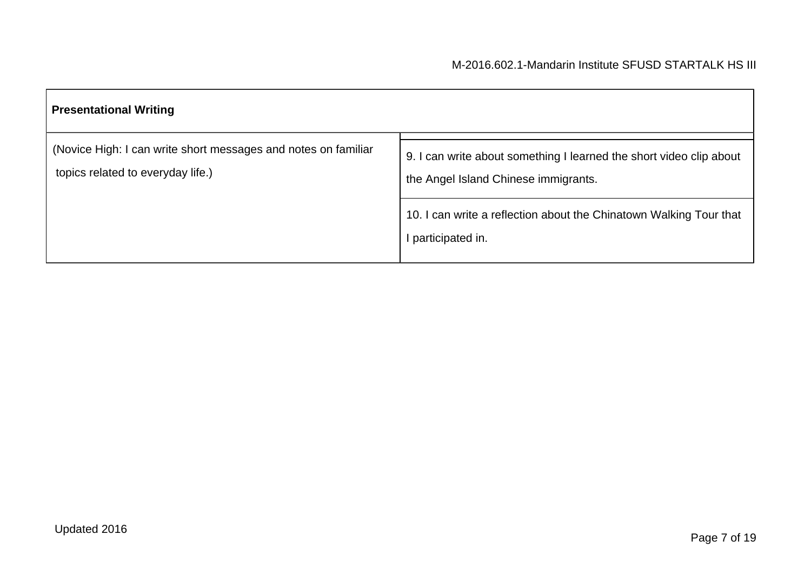| <b>Presentational Writing</b>                                                                       |                                                                                                             |  |
|-----------------------------------------------------------------------------------------------------|-------------------------------------------------------------------------------------------------------------|--|
| (Novice High: I can write short messages and notes on familiar<br>topics related to everyday life.) | 9. I can write about something I learned the short video clip about<br>the Angel Island Chinese immigrants. |  |
|                                                                                                     | 10. I can write a reflection about the Chinatown Walking Tour that<br>participated in.                      |  |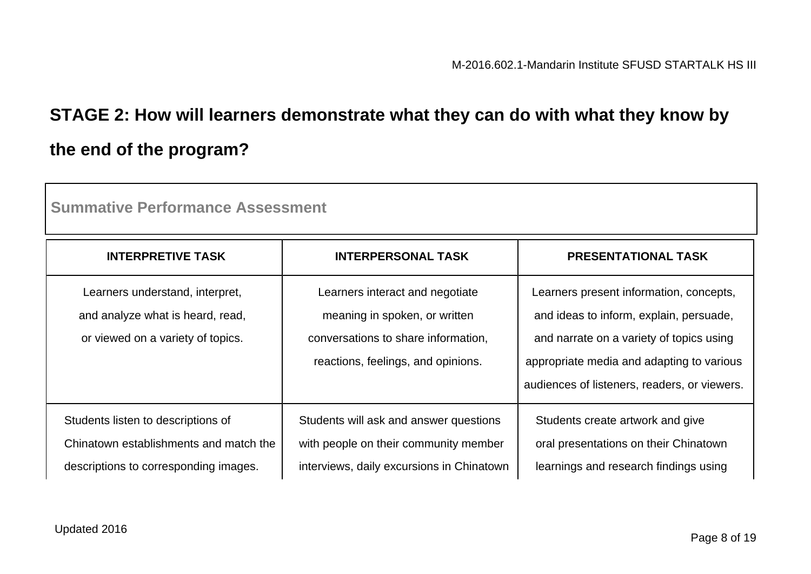## **STAGE 2: How will learners demonstrate what they can do with what they know by the end of the program?**

| Summative Performance Assessment                                                                                      |                                                                                                                                               |                                                                                                                                                                                                                             |
|-----------------------------------------------------------------------------------------------------------------------|-----------------------------------------------------------------------------------------------------------------------------------------------|-----------------------------------------------------------------------------------------------------------------------------------------------------------------------------------------------------------------------------|
| <b>INTERPRETIVE TASK</b>                                                                                              | <b>INTERPERSONAL TASK</b>                                                                                                                     | <b>PRESENTATIONAL TASK</b>                                                                                                                                                                                                  |
| Learners understand, interpret,<br>and analyze what is heard, read,<br>or viewed on a variety of topics.              | Learners interact and negotiate<br>meaning in spoken, or written<br>conversations to share information,<br>reactions, feelings, and opinions. | Learners present information, concepts,<br>and ideas to inform, explain, persuade,<br>and narrate on a variety of topics using<br>appropriate media and adapting to various<br>audiences of listeners, readers, or viewers. |
| Students listen to descriptions of<br>Chinatown establishments and match the<br>descriptions to corresponding images. | Students will ask and answer questions<br>with people on their community member<br>interviews, daily excursions in Chinatown                  | Students create artwork and give<br>oral presentations on their Chinatown<br>learnings and research findings using                                                                                                          |

**Summative Performance Assessment**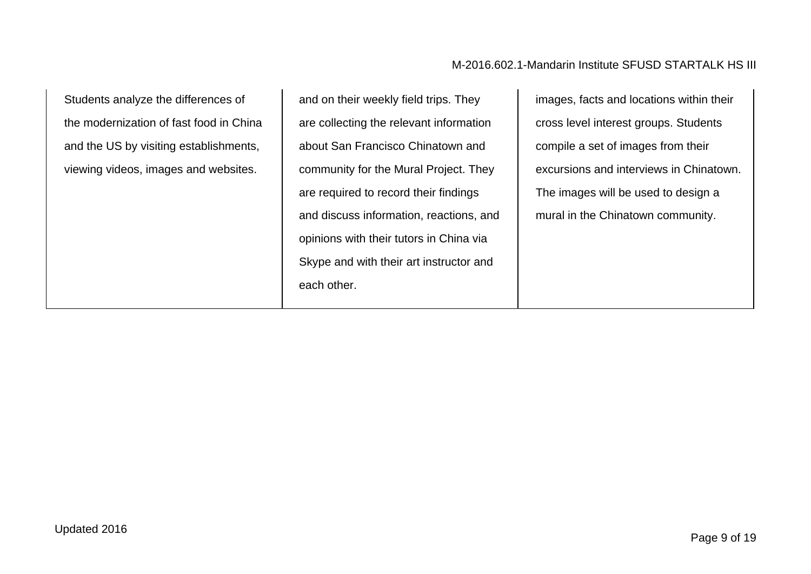#### M-2016.602.1-Mandarin Institute SFUSD STARTALK HS III

Students analyze the differences of the modernization of fast food in China and the US by visiting establishments, viewing videos, images and websites.

and on their weekly field trips. They are collecting the relevant information about San Francisco Chinatown and community for the Mural Project. They are required to record their findings and discuss information, reactions, and opinions with their tutors in China via Skype and with their art instructor and each other.

images, facts and locations within their cross level interest groups. Students compile a set of images from their excursions and interviews in Chinatown. The images will be used to design a mural in the Chinatown community.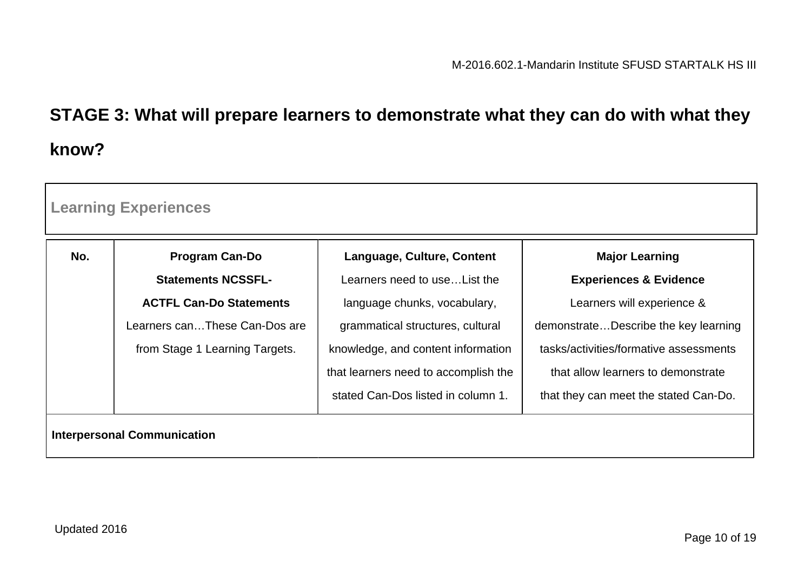# **STAGE 3: What will prepare learners to demonstrate what they can do with what they know?**

|     | <b>Learning Experiences</b>        |                                      |                                        |
|-----|------------------------------------|--------------------------------------|----------------------------------------|
| No. | <b>Program Can-Do</b>              | Language, Culture, Content           | <b>Major Learning</b>                  |
|     | <b>Statements NCSSFL-</b>          | Learners need to use List the        | <b>Experiences &amp; Evidence</b>      |
|     | <b>ACTFL Can-Do Statements</b>     | language chunks, vocabulary,         | Learners will experience &             |
|     | Learners canThese Can-Dos are      | grammatical structures, cultural     | demonstrateDescribe the key learning   |
|     | from Stage 1 Learning Targets.     | knowledge, and content information   | tasks/activities/formative assessments |
|     |                                    | that learners need to accomplish the | that allow learners to demonstrate     |
|     |                                    | stated Can-Dos listed in column 1.   | that they can meet the stated Can-Do.  |
|     | <b>Interpersonal Communication</b> |                                      |                                        |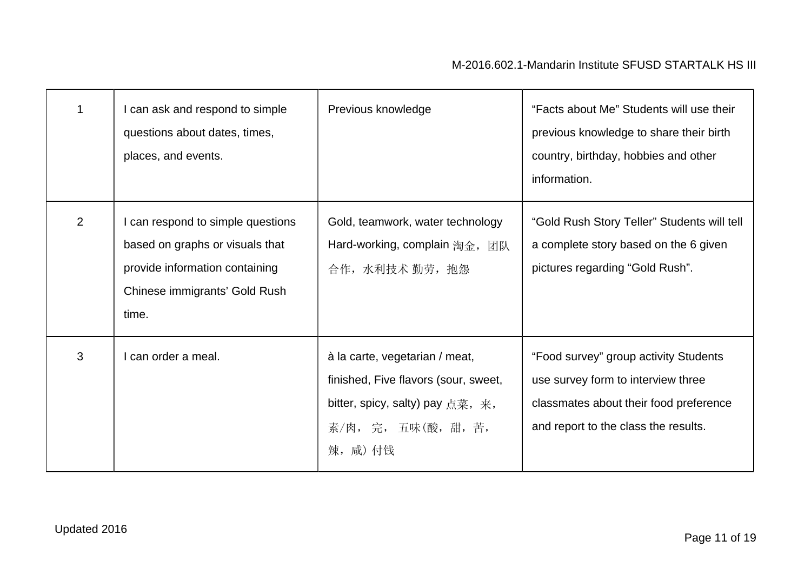|                | I can ask and respond to simple<br>questions about dates, times,<br>places, and events.                                                          | Previous knowledge                                                                                                                            | "Facts about Me" Students will use their<br>previous knowledge to share their birth<br>country, birthday, hobbies and other<br>information.                   |
|----------------|--------------------------------------------------------------------------------------------------------------------------------------------------|-----------------------------------------------------------------------------------------------------------------------------------------------|---------------------------------------------------------------------------------------------------------------------------------------------------------------|
| $\overline{2}$ | I can respond to simple questions<br>based on graphs or visuals that<br>provide information containing<br>Chinese immigrants' Gold Rush<br>time. | Gold, teamwork, water technology<br>Hard-working, complain 淘金, 团队<br>合作, 水利技术 勤劳, 抱怨                                                          | "Gold Rush Story Teller" Students will tell<br>a complete story based on the 6 given<br>pictures regarding "Gold Rush".                                       |
| 3              | can order a meal.                                                                                                                                | à la carte, vegetarian / meat,<br>finished, Five flavors (sour, sweet,<br>bitter, spicy, salty) pay 点菜, 来,<br>素/肉, 完, 五味(酸, 甜, 苦,<br>辣, 咸) 付钱 | "Food survey" group activity Students<br>use survey form to interview three<br>classmates about their food preference<br>and report to the class the results. |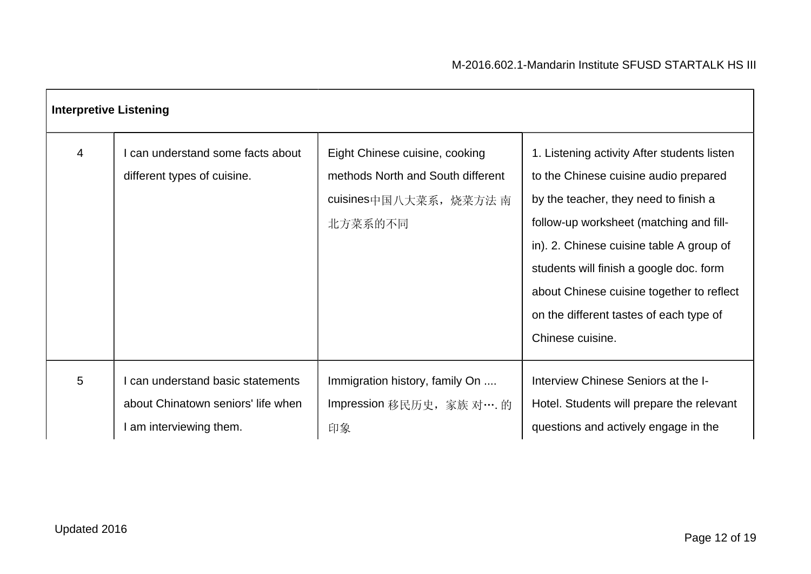| <b>Interpretive Listening</b> |                                                                                                |                                                                                                          |                                                                                                                                                                                                                                                                                                                                                                             |
|-------------------------------|------------------------------------------------------------------------------------------------|----------------------------------------------------------------------------------------------------------|-----------------------------------------------------------------------------------------------------------------------------------------------------------------------------------------------------------------------------------------------------------------------------------------------------------------------------------------------------------------------------|
| $\overline{4}$                | can understand some facts about<br>different types of cuisine.                                 | Eight Chinese cuisine, cooking<br>methods North and South different<br>cuisines中国八大菜系, 烧菜方法 南<br>北方菜系的不同 | 1. Listening activity After students listen<br>to the Chinese cuisine audio prepared<br>by the teacher, they need to finish a<br>follow-up worksheet (matching and fill-<br>in). 2. Chinese cuisine table A group of<br>students will finish a google doc. form<br>about Chinese cuisine together to reflect<br>on the different tastes of each type of<br>Chinese cuisine. |
| 5                             | can understand basic statements<br>about Chinatown seniors' life when<br>am interviewing them. | Immigration history, family On<br>Impression 移民历史, 家族 对…. 的<br>印象                                        | Interview Chinese Seniors at the I-<br>Hotel. Students will prepare the relevant<br>questions and actively engage in the                                                                                                                                                                                                                                                    |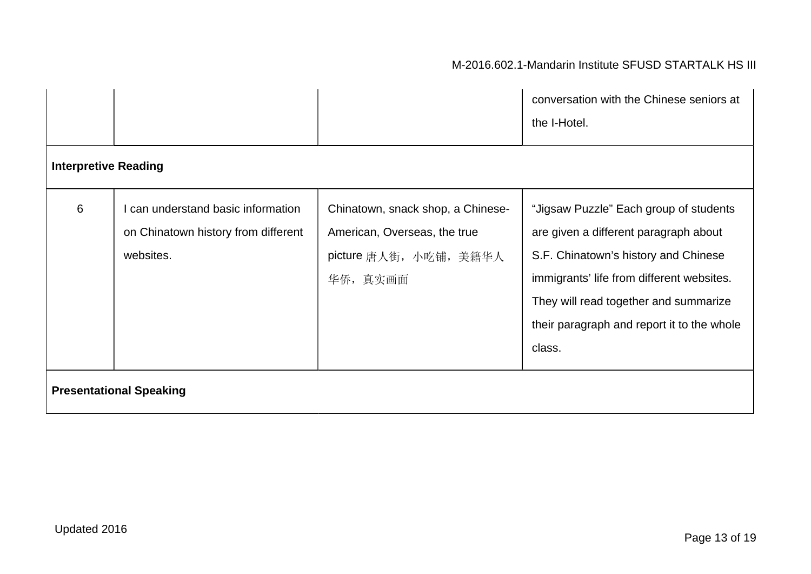#### M-2016.602.1-Mandarin Institute SFUSD STARTALK HS III

|                             |                                                                                      |                                                                                                         | conversation with the Chinese seniors at<br>the I-Hotel.                                                                                                                                                                                                              |
|-----------------------------|--------------------------------------------------------------------------------------|---------------------------------------------------------------------------------------------------------|-----------------------------------------------------------------------------------------------------------------------------------------------------------------------------------------------------------------------------------------------------------------------|
| <b>Interpretive Reading</b> |                                                                                      |                                                                                                         |                                                                                                                                                                                                                                                                       |
| 6                           | can understand basic information<br>on Chinatown history from different<br>websites. | Chinatown, snack shop, a Chinese-<br>American, Overseas, the true<br>picture 唐人街, 小吃铺, 美籍华人<br>华侨, 真实画面 | "Jigsaw Puzzle" Each group of students<br>are given a different paragraph about<br>S.F. Chinatown's history and Chinese<br>immigrants' life from different websites.<br>They will read together and summarize<br>their paragraph and report it to the whole<br>class. |
|                             | <b>Presentational Speaking</b>                                                       |                                                                                                         |                                                                                                                                                                                                                                                                       |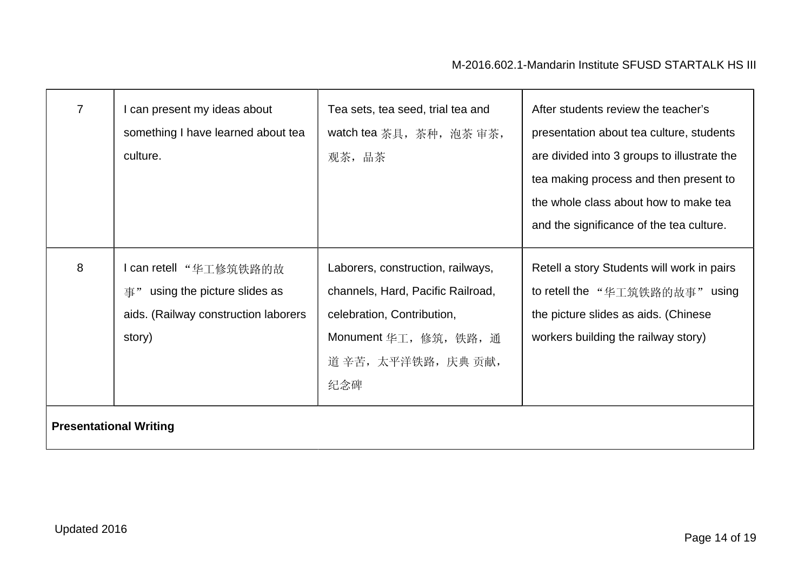| $\overline{7}$                | I can present my ideas about<br>something I have learned about tea<br>culture.                                | Tea sets, tea seed, trial tea and<br>watch tea 茶具, 茶种, 泡茶 审茶,<br>观茶, 品茶                                                                                      | After students review the teacher's<br>presentation about tea culture, students<br>are divided into 3 groups to illustrate the<br>tea making process and then present to<br>the whole class about how to make tea<br>and the significance of the tea culture. |
|-------------------------------|---------------------------------------------------------------------------------------------------------------|--------------------------------------------------------------------------------------------------------------------------------------------------------------|---------------------------------------------------------------------------------------------------------------------------------------------------------------------------------------------------------------------------------------------------------------|
| 8                             | I can retell "华工修筑铁路的故<br>using the picture slides as<br>事"<br>aids. (Railway construction laborers<br>story) | Laborers, construction, railways,<br>channels, Hard, Pacific Railroad,<br>celebration, Contribution,<br>Monument 华工, 修筑, 铁路, 通<br>道 辛苦, 太平洋铁路, 庆典 贡献,<br>纪念碑 | Retell a story Students will work in pairs<br>to retell the "华工筑铁路的故事" using<br>the picture slides as aids. (Chinese<br>workers building the railway story)                                                                                                   |
| <b>Presentational Writing</b> |                                                                                                               |                                                                                                                                                              |                                                                                                                                                                                                                                                               |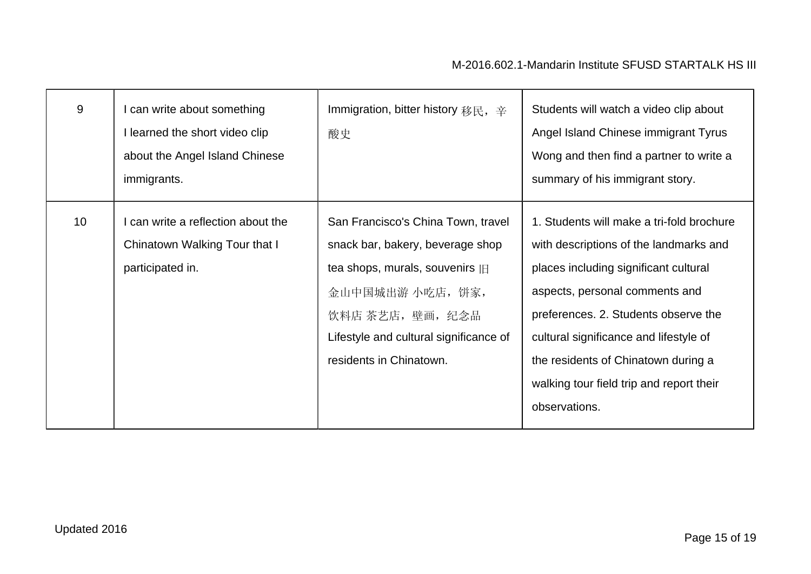| 9               | can write about something<br>I learned the short video clip<br>about the Angel Island Chinese<br>immigrants. | Immigration, bitter history 移民, 辛<br>酸史                                                                                                                                                                                 | Students will watch a video clip about<br>Angel Island Chinese immigrant Tyrus<br>Wong and then find a partner to write a<br>summary of his immigrant story.                                                                                                                                                                                         |
|-----------------|--------------------------------------------------------------------------------------------------------------|-------------------------------------------------------------------------------------------------------------------------------------------------------------------------------------------------------------------------|------------------------------------------------------------------------------------------------------------------------------------------------------------------------------------------------------------------------------------------------------------------------------------------------------------------------------------------------------|
| 10 <sup>1</sup> | can write a reflection about the<br>Chinatown Walking Tour that I<br>participated in.                        | San Francisco's China Town, travel<br>snack bar, bakery, beverage shop<br>tea shops, murals, souvenirs [E]<br>金山中国城出游 小吃店, 饼家,<br>饮料店 茶艺店, 壁画, 纪念品<br>Lifestyle and cultural significance of<br>residents in Chinatown. | 1. Students will make a tri-fold brochure<br>with descriptions of the landmarks and<br>places including significant cultural<br>aspects, personal comments and<br>preferences. 2. Students observe the<br>cultural significance and lifestyle of<br>the residents of Chinatown during a<br>walking tour field trip and report their<br>observations. |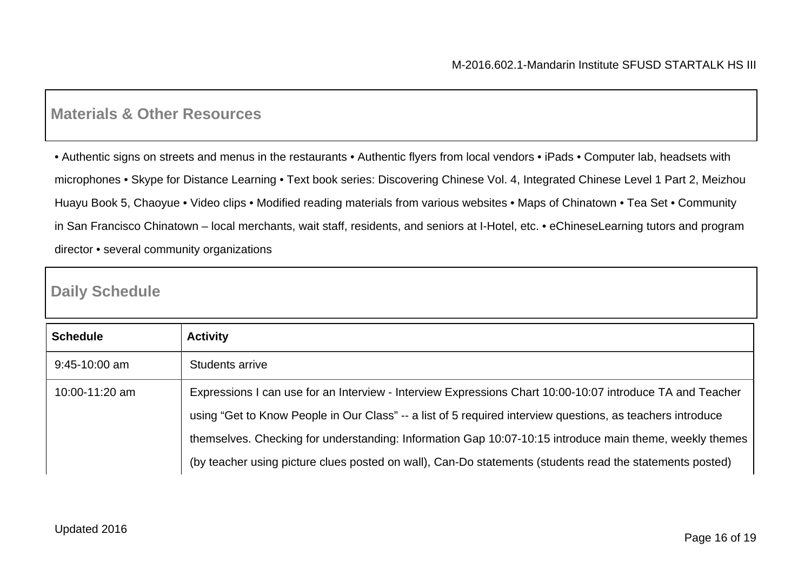### **Materials & Other Resources**

• Authentic signs on streets and menus in the restaurants • Authentic flyers from local vendors • iPads • Computer lab, headsets with microphones • Skype for Distance Learning • Text book series: Discovering Chinese Vol. 4, Integrated Chinese Level 1 Part 2, Meizhou Huayu Book 5, Chaoyue • Video clips • Modified reading materials from various websites • Maps of Chinatown • Tea Set • Community in San Francisco Chinatown – local merchants, wait staff, residents, and seniors at I-Hotel, etc. • eChineseLearning tutors and program director • several community organizations

### **Daily Schedule**

| <b>Schedule</b> | <b>Activity</b>                                                                                            |
|-----------------|------------------------------------------------------------------------------------------------------------|
| $9:45-10:00$ am | Students arrive                                                                                            |
| 10:00-11:20 am  | Expressions I can use for an Interview - Interview Expressions Chart 10:00-10:07 introduce TA and Teacher  |
|                 | using "Get to Know People in Our Class" -- a list of 5 required interview questions, as teachers introduce |
|                 | themselves. Checking for understanding: Information Gap 10:07-10:15 introduce main theme, weekly themes    |
|                 | (by teacher using picture clues posted on wall), Can-Do statements (students read the statements posted)   |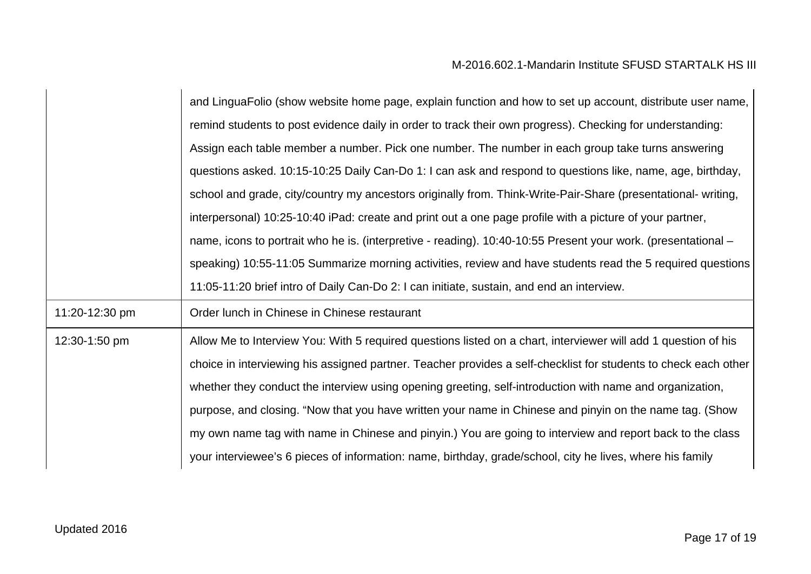|                | and LinguaFolio (show website home page, explain function and how to set up account, distribute user name,      |
|----------------|-----------------------------------------------------------------------------------------------------------------|
|                | remind students to post evidence daily in order to track their own progress). Checking for understanding:       |
|                | Assign each table member a number. Pick one number. The number in each group take turns answering               |
|                | questions asked. 10:15-10:25 Daily Can-Do 1: I can ask and respond to questions like, name, age, birthday,      |
|                | school and grade, city/country my ancestors originally from. Think-Write-Pair-Share (presentational- writing,   |
|                | interpersonal) 10:25-10:40 iPad: create and print out a one page profile with a picture of your partner,        |
|                | name, icons to portrait who he is. (interpretive - reading). 10:40-10:55 Present your work. (presentational –   |
|                | speaking) 10:55-11:05 Summarize morning activities, review and have students read the 5 required questions      |
|                | 11:05-11:20 brief intro of Daily Can-Do 2: I can initiate, sustain, and end an interview.                       |
| 11:20-12:30 pm | Order lunch in Chinese in Chinese restaurant                                                                    |
| 12:30-1:50 pm  | Allow Me to Interview You: With 5 required questions listed on a chart, interviewer will add 1 question of his  |
|                | choice in interviewing his assigned partner. Teacher provides a self-checklist for students to check each other |
|                | whether they conduct the interview using opening greeting, self-introduction with name and organization,        |
|                | purpose, and closing. "Now that you have written your name in Chinese and pinyin on the name tag. (Show         |
|                | my own name tag with name in Chinese and pinyin.) You are going to interview and report back to the class       |
|                | your interviewee's 6 pieces of information: name, birthday, grade/school, city he lives, where his family       |
|                |                                                                                                                 |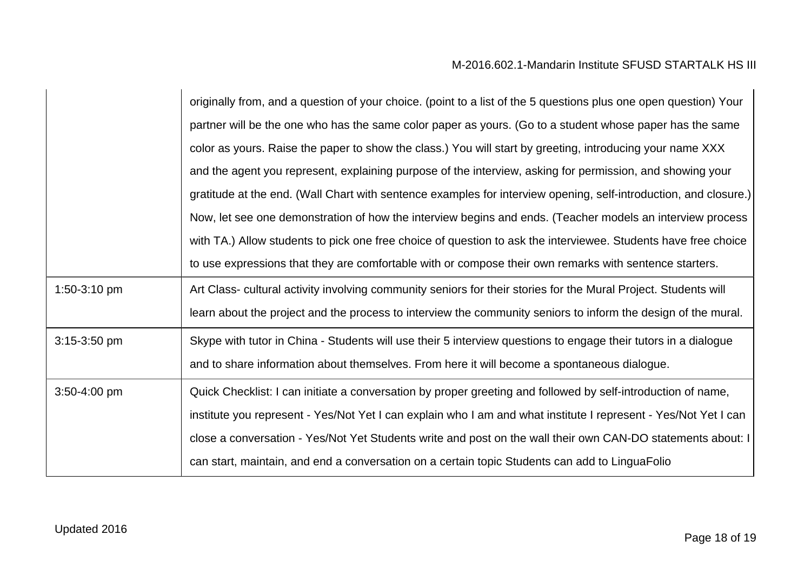|                | originally from, and a question of your choice. (point to a list of the 5 questions plus one open question) Your |
|----------------|------------------------------------------------------------------------------------------------------------------|
|                | partner will be the one who has the same color paper as yours. (Go to a student whose paper has the same         |
|                | color as yours. Raise the paper to show the class.) You will start by greeting, introducing your name XXX        |
|                | and the agent you represent, explaining purpose of the interview, asking for permission, and showing your        |
|                | gratitude at the end. (Wall Chart with sentence examples for interview opening, self-introduction, and closure.) |
|                | Now, let see one demonstration of how the interview begins and ends. (Teacher models an interview process        |
|                | with TA.) Allow students to pick one free choice of question to ask the interviewee. Students have free choice   |
|                | to use expressions that they are comfortable with or compose their own remarks with sentence starters.           |
| 1:50-3:10 pm   | Art Class- cultural activity involving community seniors for their stories for the Mural Project. Students will  |
|                | learn about the project and the process to interview the community seniors to inform the design of the mural.    |
| $3:15-3:50$ pm | Skype with tutor in China - Students will use their 5 interview questions to engage their tutors in a dialogue   |
|                | and to share information about themselves. From here it will become a spontaneous dialogue.                      |
| 3:50-4:00 pm   | Quick Checklist: I can initiate a conversation by proper greeting and followed by self-introduction of name,     |
|                | institute you represent - Yes/Not Yet I can explain who I am and what institute I represent - Yes/Not Yet I can  |
|                | close a conversation - Yes/Not Yet Students write and post on the wall their own CAN-DO statements about: I      |
|                | can start, maintain, and end a conversation on a certain topic Students can add to LinguaFolio                   |
|                |                                                                                                                  |